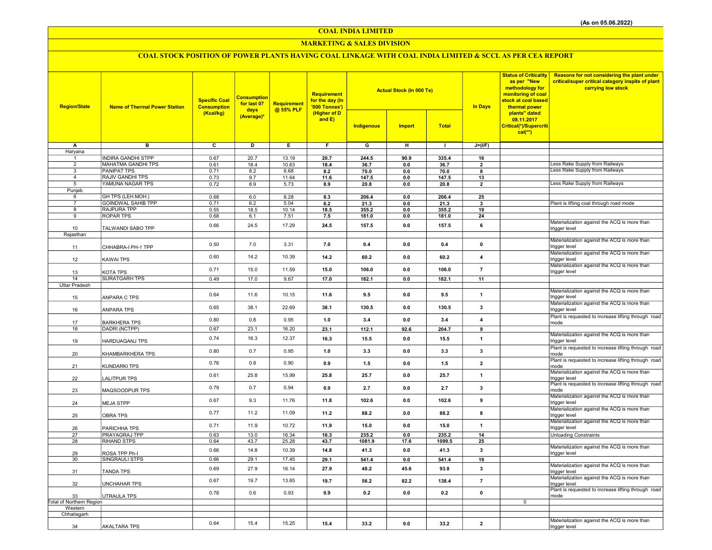COAL INDIA LIMITED

### MARKETING & SALES DIVISION

# COAL STOCK POSITION OF POWER PLANTS HAVING COAL LINKAGE WITH COAL INDIA LIMITED & SCCL AS PER CEA REPORT

| <b>Region/State</b>             | <b>Name of Thermal Power Station</b> | <b>Specific Coal</b><br><b>Consumption</b> | <b>Consumption</b><br>for last 07<br>days | Requirement<br>@ 55% PLF | Requirement<br>for the day (In<br>'000 Tonnes') |                         | <b>Actual Stock (In 000 Te)</b> |              | <b>In Days</b>          | <b>Status of Criticality</b><br>as per "New<br>methodology for<br>monitoring of coal<br>stock at coal based<br>thermal power | Reasons for not considering the plant under<br>critical/super critical category inspite of plant<br>carrying low stock |
|---------------------------------|--------------------------------------|--------------------------------------------|-------------------------------------------|--------------------------|-------------------------------------------------|-------------------------|---------------------------------|--------------|-------------------------|------------------------------------------------------------------------------------------------------------------------------|------------------------------------------------------------------------------------------------------------------------|
|                                 |                                      | (Kcal/kg)                                  | (Average)*                                |                          | (Higher of D<br>and E)                          | Indigenous              | <b>Import</b>                   | <b>Total</b> |                         | plants" dated<br>08.11.2017<br>Critical(*)/Supercriti<br>$cal$ (**)                                                          |                                                                                                                        |
| А                               | $\overline{B}$                       | $\overline{\mathbf{c}}$                    | Б.                                        | Έ                        | Ŧ                                               | $\overline{\mathsf{G}}$ | $\overline{H}$                  | $\mathbf{I}$ | $J=(I/F)$               |                                                                                                                              |                                                                                                                        |
| Haryana                         | <b>INDIRA GANDHI STPP</b>            | 0.67                                       | 20.7                                      | 13.19                    | 20.7                                            | 244.5                   |                                 | 335.4        |                         |                                                                                                                              |                                                                                                                        |
| $\overline{2}$                  | <b>MAHATMA GANDHI TPS</b>            | 0.61                                       | 18.4                                      | 10.63                    | 18.4                                            | 36.7                    | 90.9<br>0.0                     | 36.7         | 16<br>$\overline{2}$    |                                                                                                                              | Less Rake Supply from Railways                                                                                         |
| 3                               | <b>PANIPAT TPS</b>                   | 0.71                                       | 8.2                                       | 6.68                     | 8.2                                             | 70.0                    | 0.0                             | 70.0         | 8                       |                                                                                                                              | Less Rake Supply from Railways                                                                                         |
| $\overline{4}$                  | <b>RAJIV GANDHI TPS</b>              | 0.73                                       | 9.7                                       | 11.64                    | 11.6                                            | 147.5                   | 0.0                             | 147.5        | 13                      |                                                                                                                              |                                                                                                                        |
| 5                               | YAMUNA NAGAR TPS                     | 0.72                                       | 8.9                                       | 5.73                     | 8.9                                             | 20.8                    | 0.0                             | 20.8         | $\overline{2}$          |                                                                                                                              | Less Rake Supply from Railways                                                                                         |
| Punjab<br>6                     | GH TPS (LEH.MOH.)                    | 0.68                                       | 6.0                                       | 8.28                     | 8.3                                             | 206.4                   | 0.0                             | 206.4        | 25                      |                                                                                                                              |                                                                                                                        |
| $\overline{7}$                  | <b>GOINDWAL SAHIB TPP</b>            | 0.71                                       | 6.2                                       | 5.04                     | 6.2                                             | 21.3                    | 0.0                             | 21.3         | $\mathbf{3}$            |                                                                                                                              | Plant is lifting coal through road mode                                                                                |
| 8                               | <b>RAJPURA TPP</b>                   | 0.55                                       | 18.5                                      | 10.14                    | 18.5                                            | 355.2                   | 0.0                             | 355.2        | 19                      |                                                                                                                              |                                                                                                                        |
| $\overline{9}$                  | <b>ROPAR TPS</b>                     | 0.68                                       | 6.1                                       | 7.51                     | 7.5                                             | 181.0                   | 0.0                             | 181.0        | 24                      |                                                                                                                              |                                                                                                                        |
|                                 |                                      | 0.66                                       | 24.5                                      | 17.29                    | 24.5                                            | 157.5                   | 0.0                             | 157.5        | 6                       |                                                                                                                              | Materialization against the ACQ is more than                                                                           |
| 10<br>Rajasthan                 | TALWANDI SABO TPP                    |                                            |                                           |                          |                                                 |                         |                                 |              |                         |                                                                                                                              | trigger level                                                                                                          |
|                                 |                                      |                                            |                                           |                          |                                                 |                         |                                 |              |                         |                                                                                                                              | Materialization against the ACQ is more than                                                                           |
| 11                              | CHHABRA-I PH-1 TPP                   | 0.50                                       | 7.0                                       | 3.31                     | 7.0                                             | 0.4                     | 0.0                             | 0.4          | $\pmb{0}$               |                                                                                                                              | trigger level                                                                                                          |
| 12                              | KAWAI TPS                            | 0.60                                       | 14.2                                      | 10.39                    | 14.2                                            | 60.2                    | 0.0                             | 60.2         | 4                       |                                                                                                                              | Materialization against the ACQ is more than<br>trigger level                                                          |
| 13                              | KOTA TPS                             | 0.71                                       | 15.0                                      | 11.59                    | 15.0                                            | 106.0                   | 0.0                             | 106.0        | $\overline{7}$          |                                                                                                                              | Materialization against the ACQ is more than<br>trigger level                                                          |
| 14                              | <b>SURATGARH TPS</b>                 | 0.49                                       | 17.0                                      | 9.67                     | 17.0                                            | 182.1                   | 0.0                             | 182.1        | 11                      |                                                                                                                              |                                                                                                                        |
| <b>Uttar Pradesh</b>            |                                      |                                            |                                           |                          |                                                 |                         |                                 |              |                         |                                                                                                                              |                                                                                                                        |
| 15                              | ANPARA C TPS                         | 0.64                                       | 11.6                                      | 10.15                    | 11.6                                            | 9.5                     | 0.0                             | 9.5          | $\mathbf{1}$            |                                                                                                                              | Materialization against the ACQ is more than<br>trigger level                                                          |
| 16                              | ANPARA TPS                           | 0.65                                       | 38.1                                      | 22.69                    | 38.1                                            | 130.5                   | 0.0                             | 130.5        | 3                       |                                                                                                                              | Materialization against the ACQ is more than<br>trigger level                                                          |
| 17                              | <b>BARKHERA TPS</b>                  | 0.80                                       | 0.8                                       | 0.95                     | 1.0                                             | 3.4                     | 0.0                             | 3.4          | $\overline{4}$          |                                                                                                                              | Plant is requested to increase lifting through road<br>mode                                                            |
| 18                              | DADRI (NCTPP)                        | 0.67                                       | 23.1                                      | 16.20                    | 23.1                                            | 112.1                   | 92.6                            | 204.7        | 9                       |                                                                                                                              |                                                                                                                        |
| 19                              | HARDUAGANJ TPS                       | 0.74                                       | 16.3                                      | 12.37                    | 16.3                                            | 15.5                    | 0.0                             | 15.5         | $\mathbf{1}$            |                                                                                                                              | Materialization against the ACQ is more than<br>trigger level                                                          |
| 20                              | KHAMBARKHERA TPS                     | 0.80                                       | 0.7                                       | 0.95                     | 1.0                                             | 3.3                     | 0.0                             | 3.3          | 3                       |                                                                                                                              | Plant is requested to increase lifting through road<br>mode                                                            |
| 21                              | KUNDARKI TPS                         | 0.76                                       | 0.8                                       | 0.90                     | 0.9                                             | 1.5                     | 0.0                             | 1.5          | $\overline{2}$          |                                                                                                                              | Plant is requested to increase lifting through road<br>mode                                                            |
| 22                              | LALITPUR TPS                         | 0.61                                       | 25.8                                      | 15.99                    | 25.8                                            | 25.7                    | 0.0                             | 25.7         | $\mathbf{1}$            |                                                                                                                              | Materialization against the ACQ is more than<br>trigger level                                                          |
| 23                              | MAQSOODPUR TPS                       | 0.79                                       | 0.7                                       | 0.94                     | 0.9                                             | 2.7                     | 0.0                             | 2.7          | $\mathbf{3}$            |                                                                                                                              | Plant is requested to increase lifting through road<br>Imode                                                           |
| 24                              | <b>MEJA STPP</b>                     | 0.67                                       | 9.3                                       | 11.76                    | 11.8                                            | 102.6                   | 0.0                             | 102.6        | 9                       |                                                                                                                              | Materialization against the ACQ is more than<br>trigger level                                                          |
| 25                              | <b>OBRA TPS</b>                      | 0.77                                       | 11.2                                      | 11.09                    | 11.2                                            | 88.2                    | 0.0                             | 88.2         | 8                       |                                                                                                                              | Materialization against the ACQ is more than<br>trigger level                                                          |
| 26                              | PARICHHA TPS                         | 0.71                                       | 11.9                                      | 10.72                    | 11.9                                            | 15.0                    | 0.0                             | 15.0         | $\mathbf{1}$            |                                                                                                                              | Materialization against the ACQ is more than<br>trigger level                                                          |
| 27                              | PRAYAGRAJ TPP                        | 0.63                                       | 13.0                                      | 16.34                    | 16.3                                            | 235.2                   | 0.0                             | 235.2        | 14                      |                                                                                                                              | <b>Unloading Constraints</b>                                                                                           |
| 28                              | <b>RIHAND STPS</b>                   | 0.64                                       | 43.7                                      | 25.28                    | 43.7                                            | 1081.9                  | 17.6                            | 1099.5       | 25                      |                                                                                                                              | Materialization against the ACQ is more than                                                                           |
| 29                              | ROSA TPP Ph-I                        | 0.66                                       | 14.8                                      | 10.39                    | 14.8                                            | 41.3                    | 0.0                             | 41.3         | 3                       |                                                                                                                              | trigger level                                                                                                          |
| 30                              | <b>SINGRAULI STPS</b>                | 0.66                                       | 29.1                                      | 17.45                    | 29.1                                            | 541.4                   | 0.0                             | 541.4        | 19                      |                                                                                                                              |                                                                                                                        |
| 31                              | TANDA TPS                            | 0.69                                       | 27.9                                      | 16.14                    | 27.9                                            | 48.2                    | 45.6                            | 93.8         | 3                       |                                                                                                                              | Materialization against the ACQ is more than<br>trigger level                                                          |
| 32                              | UNCHAHAR TPS                         | 0.67                                       | 19.7                                      | 13.65                    | 19.7                                            | 56.2                    | 82.2                            | 138.4        | $\overline{7}$          |                                                                                                                              | Materialization against the ACQ is more than<br>trigger level                                                          |
| 33                              | UTRAULA TPS                          | 0.78                                       | 0.6                                       | 0.93                     | 0.9                                             | 0.2                     | 0.0                             | 0.2          | $\pmb{0}$               |                                                                                                                              | Plant is requested to increase lifting through road<br>mode                                                            |
| <b>Total of Northern Region</b> |                                      |                                            |                                           |                          |                                                 |                         |                                 |              |                         | $\mathbf 0$                                                                                                                  |                                                                                                                        |
| Western<br>Chhatisgarh          |                                      |                                            |                                           |                          |                                                 |                         |                                 |              |                         |                                                                                                                              |                                                                                                                        |
|                                 |                                      | 0.64                                       | 15.4                                      | 15.25                    |                                                 |                         |                                 |              | $\overline{\mathbf{2}}$ |                                                                                                                              | Materialization against the ACQ is more than                                                                           |
| 34                              | <b>AKALTARA TPS</b>                  |                                            |                                           |                          | 15.4                                            | 33.2                    | 0.0                             | 33.2         |                         |                                                                                                                              | trigger level                                                                                                          |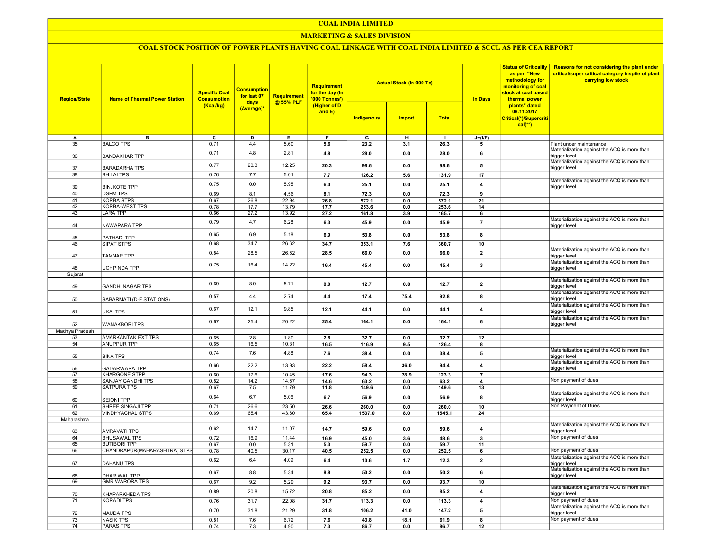### COAL INDIA LIMITED

### MARKETING & SALES DIVISION

## COAL STOCK POSITION OF POWER PLANTS HAVING COAL LINKAGE WITH COAL INDIA LIMITED & SCCL AS PER CEA REPORT

| <b>Region/State</b>  | <b>Name of Thermal Power Station</b>   | <b>Specific Coal</b><br><b>Consumption</b> | <b>Consumption</b><br>for last 07<br>days | Requirement<br>@ 55% PLF | Requirement<br>for the day (In<br>'000 Tonnes') |              | <b>Actual Stock (In 000 Te)</b> |              | as per "New<br><b>In Days</b><br>thermal power | <b>Status of Criticality</b><br>methodology for<br>monitoring of coal<br>stock at coal based | Reasons for not considering the plant under<br>critical/super critical category inspite of plant<br>carrying low stock |
|----------------------|----------------------------------------|--------------------------------------------|-------------------------------------------|--------------------------|-------------------------------------------------|--------------|---------------------------------|--------------|------------------------------------------------|----------------------------------------------------------------------------------------------|------------------------------------------------------------------------------------------------------------------------|
|                      |                                        | (Kcal/kg)                                  | (Average)*                                |                          | (Higher of D<br>and E)                          | Indigenous   | <b>Import</b>                   | <b>Total</b> |                                                | plants" dated<br>08.11.2017<br>Critical(*)/Supercriti<br>$cal(**)$                           |                                                                                                                        |
| А                    | в                                      | $\overline{c}$                             | D                                         | E                        | F                                               | G            | н                               |              | $J=(I/F)$                                      |                                                                                              |                                                                                                                        |
| 35                   | <b>BALCO TPS</b>                       | 0.71                                       | 4.4                                       | 5.60                     | 5.6                                             | 23.2         | 3.1                             | 26.3         | 5                                              |                                                                                              | Plant under maintenance                                                                                                |
| 36                   | <b>BANDAKHAR TPP</b>                   | 0.71                                       | 4.8                                       | 2.81                     | 4.8                                             | 28.0         | 0.0                             | 28.0         | 6                                              |                                                                                              | Materialization against the ACQ is more than<br>trigger level                                                          |
| 37                   | <b>BARADARHA TPS</b>                   | 0.77                                       | 20.3                                      | 12.25                    | 20.3                                            | 98.6         | 0.0                             | 98.6         | 5                                              |                                                                                              | Materialization against the ACQ is more than<br>trigger level                                                          |
| 38                   | <b>BHILAI TPS</b>                      | 0.76                                       | 7.7                                       | 5.01                     | 7.7                                             | 126.2        | 5.6                             | 131.9        | $\overline{17}$                                |                                                                                              | Materialization against the ACQ is more than                                                                           |
| 39<br>40             | <b>BINJKOTE TPP</b><br><b>DSPM TPS</b> | 0.75<br>0.69                               | 0.0<br>8.1                                | 5.95<br>4.56             | 6.0<br>8.1                                      | 25.1<br>72.3 | 0.0<br>0.0                      | 25.1<br>72.3 | $\overline{4}$                                 |                                                                                              | trigger level                                                                                                          |
| 41                   | <b>KORBA STPS</b>                      | 0.67                                       | 26.8                                      | 22.94                    | 26.8                                            | 572.1        | 0.0                             | 572.1        | 9<br>21                                        |                                                                                              |                                                                                                                        |
| $\overline{42}$      | <b>KORBA-WEST TPS</b>                  | 0.78                                       | 17.7                                      | 13.79                    | 17.7                                            | 253.6        | 0.0                             | 253.6        | 14                                             |                                                                                              |                                                                                                                        |
| 43                   | <b>LARA TPP</b>                        | 0.66                                       | 27.2                                      | 13.92                    | 27.2                                            | 161.8        | 3.9                             | 165.7        | 6                                              |                                                                                              |                                                                                                                        |
| 44                   | NAWAPARA TPP                           | 0.79                                       | 4.7                                       | 6.28                     | 6.3                                             | 45.9         | 0.0                             | 45.9         | $\overline{7}$                                 |                                                                                              | Materialization against the ACQ is more than<br>trigger level                                                          |
| 45                   | PATHADI TPP                            | 0.65                                       | 6.9                                       | 5.18                     | 6.9                                             | 53.8         | 0.0                             | 53.8         | 8                                              |                                                                                              |                                                                                                                        |
| 46                   | SIPAT STPS                             | 0.68                                       | 34.7                                      | 26.62                    | 34.7                                            | 353.1        | 7.6                             | 360.7        | 10                                             |                                                                                              |                                                                                                                        |
| 47                   | <b>TAMNAR TPP</b>                      | 0.84                                       | 28.5                                      | 26.52                    | 28.5                                            | 66.0         | 0.0                             | 66.0         | $\overline{2}$                                 |                                                                                              | Materialization against the ACQ is more than<br>trigger level                                                          |
|                      |                                        | 0.75                                       | 16.4                                      | 14.22                    | 16.4                                            | 45.4         | 0.0                             | 45.4         | $\mathbf 3$                                    |                                                                                              | Materialization against the ACQ is more than                                                                           |
| 48<br>Gujarat        | UCHPINDA TPP                           |                                            |                                           |                          |                                                 |              |                                 |              |                                                |                                                                                              | trigger level                                                                                                          |
|                      |                                        |                                            |                                           |                          |                                                 |              |                                 |              |                                                |                                                                                              | Materialization against the ACQ is more than                                                                           |
| 49                   | <b>GANDHI NAGAR TPS</b>                | 0.69                                       | 8.0                                       | 5.71                     | 8.0                                             | 12.7         | 0.0                             | 12.7         | $\overline{\mathbf{2}}$                        |                                                                                              | rigger level<br>Materialization against the ACQ is more than                                                           |
| 50                   | SABARMATI (D-F STATIONS)               | 0.57                                       | 4.4                                       | 2.74                     | 4.4                                             | 17.4         | 75.4                            | 92.8         | 8                                              |                                                                                              | trigger level<br>Materialization against the ACQ is more than                                                          |
| 51                   | <b>UKAI TPS</b>                        | 0.67                                       | 12.1                                      | 9.85                     | 12.1                                            | 44.1         | 0.0                             | 44.1         | $\overline{\mathbf{4}}$                        |                                                                                              | trigger level<br>Materialization against the ACQ is more than                                                          |
| 52<br>Madhya Pradesh | <b>WANAKBORI TPS</b>                   | 0.67                                       | 25.4                                      | 20.22                    | 25.4                                            | 164.1        | 0.0                             | 164.1        | 6                                              |                                                                                              | trigger level                                                                                                          |
| 53                   | AMARKANTAK EXT TPS                     | 0.65                                       | 2.8                                       | 1.80                     | 2.8                                             | 32.7         | 0.0                             | 32.7         | 12                                             |                                                                                              |                                                                                                                        |
| 54                   | <b>ANUPPUR TPP</b>                     | 0.65                                       | 16.5                                      | 10.31                    | 16.5                                            | 116.9        | 9.5                             | 126.4        | 8                                              |                                                                                              |                                                                                                                        |
| 55                   | <b>BINA TPS</b>                        | 0.74                                       | 7.6                                       | 4.88                     | 7.6                                             | 38.4         | 0.0                             | 38.4         | 5                                              |                                                                                              | Materialization against the ACQ is more than<br>trigger level                                                          |
| 56                   | <b>GADARWARA TPP</b>                   | 0.66                                       | 22.2                                      | 13.93                    | 22.2                                            | 58.4         | 36.0                            | 94.4         | $\overline{\mathbf{4}}$                        |                                                                                              | Materialization against the ACQ is more than<br>trigger level                                                          |
| $\overline{57}$      | <b>KHARGONE STPP</b>                   | 0.60                                       | 17.6                                      | 10.45                    | 17.6                                            | 94.3         | 28.9                            | 123.3        | $\overline{7}$                                 |                                                                                              |                                                                                                                        |
| 58                   | SANJAY GANDHI TPS                      | 0.82                                       | 14.2                                      | 14.57                    | 14.6                                            | 63.2         | 0.0                             | 63.2         | $\overline{4}$                                 |                                                                                              | Non payment of dues                                                                                                    |
| 59                   | <b>SATPURA TPS</b>                     | 0.67                                       | 7.5                                       | 11.79                    | 11.8                                            | 149.6        | 0.0                             | 149.6        | 13                                             |                                                                                              |                                                                                                                        |
| 60                   | <b>SEIONI TPP</b>                      | 0.64                                       | 6.7                                       | 5.06                     | 6.7                                             | 56.9         | 0.0                             | 56.9         | 8                                              |                                                                                              | Materialization against the ACQ is more than<br>trigger level                                                          |
| 61                   | SHREE SINGAJI TPP                      | 0.71                                       | 26.6                                      | 23.50                    | 26.6                                            | 260.0        | 0.0                             | 260.0        | 10                                             |                                                                                              | Non Payment of Dues                                                                                                    |
| 62                   | <b>VINDHYACHAL STPS</b>                | 0.69                                       | 65.4                                      | 43.60                    | 65.4                                            | 1537.0       | 8.0                             | 1545.1       | 24                                             |                                                                                              |                                                                                                                        |
| Maharashtra<br>63    | AMRAVATI TPS                           | 0.62                                       | 14.7                                      | 11.07                    | 14.7                                            | 59.6         | 0.0                             | 59.6         | $\overline{4}$                                 |                                                                                              | Materialization against the ACQ is more than<br>trigger level                                                          |
| 64                   | <b>BHUSAWAL TPS</b>                    | 0.72                                       | 16.9                                      | 11.44                    | 16.9                                            | 45.0         | 3.6                             | 48.6         | $\mathbf{3}$                                   |                                                                                              | Non payment of dues                                                                                                    |
| 65                   | <b>BUTIBORI TPP</b>                    | 0.67                                       | 0.0                                       | 5.31                     | 5.3                                             | 59.7         | 0.0                             | 59.7         | 11                                             |                                                                                              |                                                                                                                        |
| 66                   | CHANDRAPUR(MAHARASHTRA) STPS           | 0.78                                       | 40.5                                      | 30.17                    | 40.5                                            | 252.5        | 0.0                             | 252.5        | 6                                              |                                                                                              | Non payment of dues                                                                                                    |
| 67                   | DAHANU TPS                             | 0.62                                       | 6.4                                       | 4.09                     | 6.4                                             | 10.6         | 1.7                             | 12.3         | $\mathbf 2$                                    |                                                                                              | Materialization against the ACQ is more than<br>trigger level                                                          |
| 68                   | <b>DHARIWAL TPP</b>                    | 0.67                                       | 8.8                                       | 5.34                     | 8.8                                             | 50.2         | 0.0                             | 50.2         | 6                                              |                                                                                              | Materialization against the ACQ is more than<br>trigger level                                                          |
| 69                   | <b>GMR WARORA TPS</b>                  | 0.67                                       | 9.2                                       | 5.29                     | 9.2                                             | 93.7         | 0.0                             | 93.7         | 10                                             |                                                                                              |                                                                                                                        |
| 70                   | KHAPARKHEDA TPS                        | 0.89                                       | 20.8                                      | 15.72                    | 20.8                                            | 85.2         | 0.0                             | 85.2         | $\overline{\mathbf{4}}$                        |                                                                                              | Materialization against the ACQ is more than<br>trigger level                                                          |
| $\overline{71}$      | <b>KORADI TPS</b>                      | 0.76                                       | 31.7                                      | 22.08                    | 31.7                                            | 113.3        | 0.0                             | 113.3        | $\overline{4}$                                 |                                                                                              | Non payment of dues                                                                                                    |
| 72                   | <b>MAUDA TPS</b>                       | 0.70                                       | 31.8                                      | 21.29                    | 31.8                                            | 106.2        | 41.0                            | 147.2        | ${\bf 5}$                                      |                                                                                              | Materialization against the ACQ is more than<br>trigger level                                                          |
| $\overline{73}$      | <b>NASIK TPS</b>                       | 0.81                                       | 7.6                                       | 6.72                     | 7.6                                             | 43.8         | 18.1                            | 61.9         | $\overline{\mathbf{8}}$                        |                                                                                              | Non payment of dues                                                                                                    |
| $\overline{74}$      | <b>PARAS TPS</b>                       | 0.74                                       | 7.3                                       | 4.90                     | 7.3                                             | 86.7         | 0.0                             | 86.7         | 12                                             |                                                                                              |                                                                                                                        |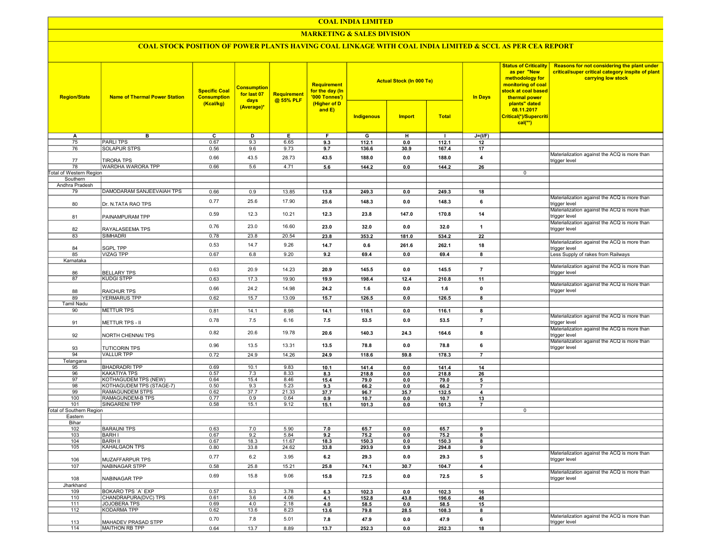### COAL INDIA LIMITED

### **MARKETING & SALES DIVISION**

# COAL STOCK POSITION OF POWER PLANTS HAVING COAL LINKAGE WITH COAL INDIA LIMITED & SCCL AS PER CEA REPORT

| <b>Region/State</b>             | <b>Name of Thermal Power Station</b>             | <b>Specific Coal</b><br><b>Consumption</b><br>(Kcal/kg) | <b>Consumption</b><br>for last 07<br>days<br>(Average)* | Requirement<br>@ 55% PLF | <b>Requirement</b><br>for the day (In<br>'000 Tonnes')<br>(Higher of D<br>and E) |              | <b>Actual Stock (In 000 Te)</b> |               | <b>In Days</b>          | <b>Status of Criticality</b><br>as per "New<br>methodology for<br>monitoring of coal<br>stock at coal based<br>thermal power<br>plants" dated<br>08.11.2017 | Reasons for not considering the plant under<br>critical/super critical category inspite of plant<br>carrying low stock |
|---------------------------------|--------------------------------------------------|---------------------------------------------------------|---------------------------------------------------------|--------------------------|----------------------------------------------------------------------------------|--------------|---------------------------------|---------------|-------------------------|-------------------------------------------------------------------------------------------------------------------------------------------------------------|------------------------------------------------------------------------------------------------------------------------|
|                                 |                                                  |                                                         |                                                         |                          |                                                                                  | Indigenous   | <b>Import</b>                   | <b>Total</b>  |                         | Critical(*)/Supercriti<br>$cal$ (**)                                                                                                                        |                                                                                                                        |
| Α                               | в                                                | c                                                       | D                                                       | Е                        | F.                                                                               | G            | н                               | $\mathbf{I}$  | $J=(I/F)$               |                                                                                                                                                             |                                                                                                                        |
| 75                              | <b>PARLITPS</b>                                  | 0.67                                                    | 9.3                                                     | 6.65                     | 9.3                                                                              | 112.1        | 0.0                             | 112.1         | 12                      |                                                                                                                                                             |                                                                                                                        |
| 76                              | <b>SOLAPUR STPS</b>                              | 0.56                                                    | 9.6                                                     | 9.73                     | 9.7                                                                              | 136.6        | 30.9                            | 167.4         | 17                      |                                                                                                                                                             |                                                                                                                        |
| 77                              | <b>TIRORA TPS</b>                                | 0.66                                                    | 43.5                                                    | 28.73                    | 43.5                                                                             | 188.0        | 0.0                             | 188.0         | 4                       |                                                                                                                                                             | Materialization against the ACQ is more than<br>trigger level                                                          |
| 78                              | WARDHA WARORA TPP                                | 0.66                                                    | 5.6                                                     | 4.71                     | 5.6                                                                              | 144.2        | 0.0                             | 144.2         | 26                      |                                                                                                                                                             |                                                                                                                        |
| Total of Western Region         |                                                  |                                                         |                                                         |                          |                                                                                  |              |                                 |               |                         | $\mathbf 0$                                                                                                                                                 |                                                                                                                        |
| Southern<br>Andhra Pradesh      |                                                  |                                                         |                                                         |                          |                                                                                  |              |                                 |               |                         |                                                                                                                                                             |                                                                                                                        |
| 79                              | DAMODARAM SANJEEVAIAH TPS                        | 0.66                                                    | 0.9                                                     | 13.85                    | 13.8                                                                             | 249.3        | 0.0                             | 249.3         | 18                      |                                                                                                                                                             |                                                                                                                        |
| 80                              | Dr. N.TATA RAO TPS                               | 0.77                                                    | 25.6                                                    | 17.90                    | 25.6                                                                             | 148.3        | 0.0                             | 148.3         | 6                       |                                                                                                                                                             | Materialization against the ACQ is more than<br>trigger level                                                          |
|                                 |                                                  | 0.59                                                    | 12.3                                                    | 10.21                    | 12.3                                                                             | 23.8         | 147.0                           | 170.8         | 14                      |                                                                                                                                                             | Materialization against the ACQ is more than<br>trigger level                                                          |
| 81                              | PAINAMPURAM TPP                                  | 0.76                                                    | 23.0                                                    | 16.60                    | 23.0                                                                             | 32.0         | 0.0                             | 32.0          | $\overline{\mathbf{1}}$ |                                                                                                                                                             | Materialization against the ACQ is more than                                                                           |
| 82                              | RAYALASEEMA TPS                                  |                                                         |                                                         | 20.54                    |                                                                                  |              |                                 |               |                         |                                                                                                                                                             | trigger level                                                                                                          |
| 83                              | <b>SIMHADRI</b>                                  | 0.78                                                    | 23.8                                                    |                          | 23.8                                                                             | 353.2        | 181.0                           | 534.2         | 22                      |                                                                                                                                                             | Materialization against the ACQ is more than                                                                           |
| 84                              | <b>SGPL TPP</b>                                  | 0.53                                                    | 14.7                                                    | 9.26                     | 14.7                                                                             | 0.6          | 261.6                           | 262.1         | 18                      |                                                                                                                                                             | trigger level                                                                                                          |
| 85<br>Karnataka                 | <b>VIZAG TPP</b>                                 | 0.67                                                    | 6.8                                                     | 9.20                     | 9.2                                                                              | 69.4         | 0.0                             | 69.4          | 8                       |                                                                                                                                                             | Less Supply of rakes from Railways                                                                                     |
|                                 |                                                  | 0.63                                                    | 20.9                                                    | 14.23                    | 20.9                                                                             | 145.5        | 0.0                             | 145.5         | $\overline{7}$          |                                                                                                                                                             | Materialization against the ACQ is more than                                                                           |
| 86                              | <b>BELLARY TPS</b>                               |                                                         |                                                         |                          |                                                                                  |              |                                 |               |                         |                                                                                                                                                             | trigger level                                                                                                          |
| 87                              | <b>KUDGI STPP</b>                                | 0.63                                                    | 17.3                                                    | 19.90                    | 19.9                                                                             | 198.4        | 12.4                            | 210.8         | 11                      |                                                                                                                                                             | Materialization against the ACQ is more than                                                                           |
| 88                              | <b>RAICHUR TPS</b>                               | 0.66                                                    | 24.2                                                    | 14.98                    | 24.2                                                                             | 1.6          | 0.0                             | 1.6           | $\pmb{0}$               |                                                                                                                                                             | trigger level                                                                                                          |
| 89                              | <b>YERMARUS TPP</b>                              | 0.62                                                    | 15.7                                                    | 13.09                    | 15.7                                                                             | 126.5        | 0.0                             | 126.5         | 8                       |                                                                                                                                                             |                                                                                                                        |
| <b>Tamil Nadu</b>               |                                                  |                                                         |                                                         |                          |                                                                                  |              |                                 |               |                         |                                                                                                                                                             |                                                                                                                        |
| 90                              | <b>METTUR TPS</b>                                | 0.81                                                    | 14.1                                                    | 8.98                     | 14.1                                                                             | 116.1        | 0.0                             | 116.1         | 8                       |                                                                                                                                                             |                                                                                                                        |
| 91                              | <b>METTUR TPS - II</b>                           | 0.78                                                    | 7.5                                                     | 6.16                     | 7.5                                                                              | 53.5         | 0.0                             | 53.5          | $\overline{7}$          |                                                                                                                                                             | Materialization against the ACQ is more than<br>trigger level                                                          |
| 92                              | NORTH CHENNAI TPS                                | 0.82                                                    | 20.6                                                    | 19.78                    | 20.6                                                                             | 140.3        | 24.3                            | 164.6         | 8                       |                                                                                                                                                             | Materialization against the ACQ is more than<br>trigger level                                                          |
| 93                              | <b>TUTICORIN TPS</b>                             | 0.96                                                    | 13.5                                                    | 13.31                    | 13.5                                                                             | 78.8         | 0.0                             | 78.8          | 6                       |                                                                                                                                                             | Materialization against the ACQ is more than<br>trigger level                                                          |
| 94                              | <b>VALLUR TPP</b>                                | 0.72                                                    | 24.9                                                    | 14.26                    | 24.9                                                                             | 118.6        | 59.8                            | 178.3         | $\overline{7}$          |                                                                                                                                                             |                                                                                                                        |
| Telangana                       |                                                  |                                                         |                                                         |                          |                                                                                  |              |                                 |               |                         |                                                                                                                                                             |                                                                                                                        |
| 95                              | <b>BHADRADRI TPP</b>                             | 0.69                                                    | 10.1                                                    | 9.83                     | 10.1                                                                             | 141.4        | 0.0                             | 141.4         | 14                      |                                                                                                                                                             |                                                                                                                        |
| 96                              | <b>KAKATIYA TPS</b>                              | 0.57                                                    | 7.3                                                     | 8.33                     | 8.3                                                                              | 218.8        | 0.0                             | 218.8         | 26                      |                                                                                                                                                             |                                                                                                                        |
| 97<br>98                        | KOTHAGUDEM TPS (NEW)<br>KOTHAGUDEM TPS (STAGE-7) | 0.64<br>0.50                                            | 15.4<br>9.3                                             | 8.46<br>5.23             | 15.4                                                                             | 79.0<br>66.2 | 0.0<br>0.0                      | 79.0          | 5<br>$\overline{7}$     |                                                                                                                                                             |                                                                                                                        |
| 99                              | RAMAGUNDEM STPS                                  | 0.62                                                    | 37.7                                                    | 21.33                    | 9.3<br>37.7                                                                      | 96.7         | 35.7                            | 66.2<br>132.5 | $\overline{\mathbf{4}}$ |                                                                                                                                                             |                                                                                                                        |
| 100                             | RAMAGUNDEM-B TPS                                 | 0.77                                                    | 0.9                                                     | 0.64                     | 0.9                                                                              | 10.7         | 0.0                             | 10.7          | 13                      |                                                                                                                                                             |                                                                                                                        |
| 101                             | SINGARENI TPP                                    | 0.58                                                    | 15.1                                                    | 9.12                     | 15.1                                                                             | 101.3        | 0.0                             | 101.3         | $\overline{7}$          |                                                                                                                                                             |                                                                                                                        |
| <b>Total of Southern Region</b> |                                                  |                                                         |                                                         |                          |                                                                                  |              |                                 |               |                         | 0                                                                                                                                                           |                                                                                                                        |
| Eastern                         |                                                  |                                                         |                                                         |                          |                                                                                  |              |                                 |               |                         |                                                                                                                                                             |                                                                                                                        |
| Bihar<br>102                    | <b>BARAUNI TPS</b>                               | 0.63                                                    | 7.0                                                     | 5.90                     | 7.0                                                                              | 65.7         | 0.0                             | 65.7          | 9                       |                                                                                                                                                             |                                                                                                                        |
| 103                             | <b>BARHI</b>                                     | 0.67                                                    | 9.2                                                     | 5.84                     | 9.2                                                                              | 75.2         | 0.0                             | 75.2          | 8                       |                                                                                                                                                             |                                                                                                                        |
| 104                             | <b>BARH II</b>                                   | 0.67                                                    | 18.3                                                    | 11.67                    | 18.3                                                                             | 150.3        | 0.0                             | 150.3         | 8                       |                                                                                                                                                             |                                                                                                                        |
| 105                             | KAHALGAON TPS                                    | 0.80                                                    | 33.8                                                    | 24.62                    | 33.8                                                                             | 293.9        | 0.9                             | 294.8         | 9                       |                                                                                                                                                             |                                                                                                                        |
| 106                             | <b>MUZAFFARPUR TPS</b>                           | 0.77                                                    | 6.2                                                     | 3.95                     | 6.2                                                                              | 29.3         | 0.0                             | 29.3          | 5                       |                                                                                                                                                             | Materialization against the ACQ is more than<br>trigger level                                                          |
| 107                             | NABINAGAR STPP                                   | 0.58                                                    | 25.8                                                    | 15.21                    | 25.8                                                                             | 74.1         | 30.7                            | 104.7         | 4                       |                                                                                                                                                             |                                                                                                                        |
| 108                             | NABINAGAR TPP                                    | 0.69                                                    | 15.8                                                    | 9.06                     | 15.8                                                                             | 72.5         | 0.0                             | 72.5          | 5                       |                                                                                                                                                             | Materialization against the ACQ is more than<br>trigger level                                                          |
| Jharkhand                       |                                                  |                                                         |                                                         |                          |                                                                                  |              |                                 |               |                         |                                                                                                                                                             |                                                                                                                        |
| 109                             | BOKARO TPS 'A' EXP                               | 0.57                                                    | 6.3                                                     | 3.78                     | 6.3                                                                              | 102.3        | 0.0                             | 102.3         | 16                      |                                                                                                                                                             |                                                                                                                        |
| 110                             | CHANDRAPURA(DVC) TPS                             | 0.61                                                    | 3.6                                                     | 4.06                     | 4.1                                                                              | 152.8        | 43.8                            | 196.6         | 48                      |                                                                                                                                                             |                                                                                                                        |
| 111                             | JOJOBERA TPS<br>KODARMA TPP                      | 0.69                                                    | 4.0                                                     | 2.18                     | 4.0                                                                              | 58.5         | 0.0                             | 58.5          | 15                      |                                                                                                                                                             |                                                                                                                        |
| 112                             |                                                  | 0.62                                                    | 13.6                                                    | 8.23                     | 13.6                                                                             | 79.8         | 28.5                            | 108.3         | 8                       |                                                                                                                                                             | Materialization against the ACQ is more than                                                                           |
| 113                             | MAHADEV PRASAD STPP                              | 0.70                                                    | 7.8                                                     | 5.01                     | 7.8                                                                              | 47.9         | 0.0                             | 47.9          | 6                       |                                                                                                                                                             | trigger level                                                                                                          |
| 114                             | MAITHON RB TPP                                   | 0.64                                                    | 13.7                                                    | 8.89                     | 13.7                                                                             | 252.3        | 0.0                             | 252.3         | 18                      |                                                                                                                                                             |                                                                                                                        |